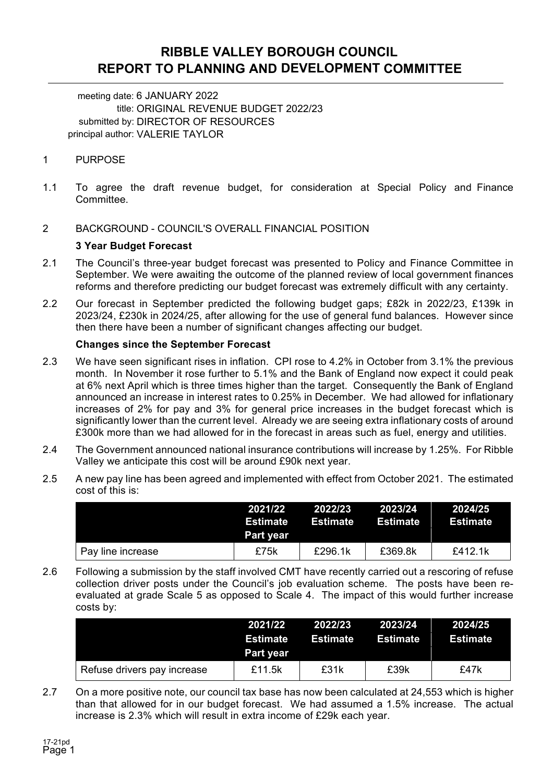## **RIBBLE VALLEY BOROUGH COUNCIL REPORT TO PLANNING AND DEVELOPMENT COMMITTEE**

meeting date: 6 JANUARY 2022 title: ORIGINAL REVENUE BUDGET 2022/23 submitted by: DIRECTOR OF RESOURCES principal author: VALERIE TAYLOR

## 1 PURPOSE

- 1.1 To agree the draft revenue budget, for consideration at Special Policy and Finance Committee.
- 2 BACKGROUND COUNCIL'S OVERALL FINANCIAL POSITION

## **3 Year Budget Forecast**

- 2.1 The Council's three-year budget forecast was presented to Policy and Finance Committee in September. We were awaiting the outcome of the planned review of local government finances reforms and therefore predicting our budget forecast was extremely difficult with any certainty.
- 2.2 Our forecast in September predicted the following budget gaps; £82k in 2022/23, £139k in 2023/24, £230k in 2024/25, after allowing for the use of general fund balances. However since then there have been a number of significant changes affecting our budget.

## **Changes since the September Forecast**

- 2.3 We have seen significant rises in inflation. CPI rose to 4.2% in October from 3.1% the previous month. In November it rose further to 5.1% and the Bank of England now expect it could peak at 6% next April which is three times higher than the target. Consequently the Bank of England announced an increase in interest rates to 0.25% in December. We had allowed for inflationary increases of 2% for pay and 3% for general price increases in the budget forecast which is significantly lower than the current level. Already we are seeing extra inflationary costs of around £300k more than we had allowed for in the forecast in areas such as fuel, energy and utilities.
- 2.4 The Government announced national insurance contributions will increase by 1.25%. For Ribble Valley we anticipate this cost will be around £90k next year.
- 2.5 A new pay line has been agreed and implemented with effect from October 2021. The estimated cost of this is:

|                   | 2021/22<br>Estimate<br>Part year | 2022/23<br>Estimate | 2023/24<br>Estimate | 2024/25<br>Estimate |
|-------------------|----------------------------------|---------------------|---------------------|---------------------|
| Pay line increase | £75k                             | £296.1k             | £369.8k             | £412.1 $k$          |

2.6 Following a submission by the staff involved CMT have recently carried out a rescoring of refuse collection driver posts under the Council's job evaluation scheme. The posts have been reevaluated at grade Scale 5 as opposed to Scale 4. The impact of this would further increase costs by:

|                             | 2021/22<br>Estimate<br>Part year | 2022/23<br>Estimate | 2023/24<br>Estimate | 2024/25<br>Estimate |
|-----------------------------|----------------------------------|---------------------|---------------------|---------------------|
| Refuse drivers pay increase | £11.5k                           | £31k                | £39k                | £47k                |

2.7 On a more positive note, our council tax base has now been calculated at 24,553 which is higher than that allowed for in our budget forecast. We had assumed a 1.5% increase. The actual increase is 2.3% which will result in extra income of £29k each year.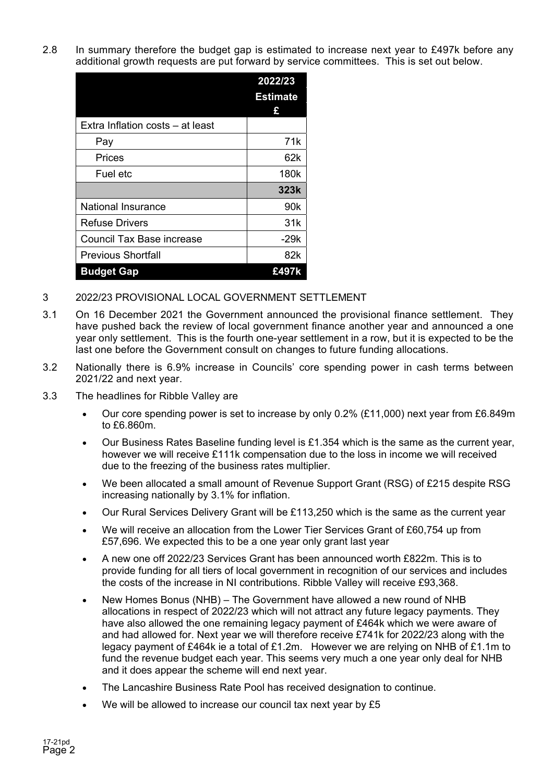2.8 In summary therefore the budget gap is estimated to increase next year to £497k before any additional growth requests are put forward by service committees. This is set out below.

|                                  | 2022/23          |
|----------------------------------|------------------|
|                                  | <b>Estimate</b>  |
|                                  | £                |
| Extra Inflation costs - at least |                  |
| Pay                              | 71k              |
| Prices                           | 62k              |
| Fuel etc                         | 180 <sub>k</sub> |
|                                  | 323k             |
| <b>National Insurance</b>        | 90 <sub>k</sub>  |
| <b>Refuse Drivers</b>            | 31k              |
| Council Tax Base increase        | $-29k$           |
| <b>Previous Shortfall</b>        | 82k              |
| <b>Budget Gap</b>                | £497k            |

- 3 2022/23 PROVISIONAL LOCAL GOVERNMENT SETTLEMENT
- 3.1 On 16 December 2021 the Government announced the provisional finance settlement. They have pushed back the review of local government finance another year and announced a one year only settlement. This is the fourth one-year settlement in a row, but it is expected to be the last one before the Government consult on changes to future funding allocations.
- 3.2 Nationally there is 6.9% increase in Councils' core spending power in cash terms between 2021/22 and next year.
- 3.3 The headlines for Ribble Valley are
	- Our core spending power is set to increase by only  $0.2\%$  (£11,000) next year from £6.849m to £6.860m.
	- $\bullet$  Our Business Rates Baseline funding level is £1.354 which is the same as the current year, however we will receive £111k compensation due to the loss in income we will received due to the freezing of the business rates multiplier.
	- We been allocated a small amount of Revenue Support Grant (RSG) of £215 despite RSG increasing nationally by 3.1% for inflation.
	- Our Rural Services Delivery Grant will be £113,250 which is the same as the current year
	- We will receive an allocation from the Lower Tier Services Grant of £60,754 up from £57,696. We expected this to be a one year only grant last year
	- A new one off 2022/23 Services Grant has been announced worth £822m. This is to provide funding for all tiers of local government in recognition of our services and includes the costs of the increase in NI contributions. Ribble Valley will receive £93,368.
	- New Homes Bonus (NHB) The Government have allowed a new round of NHB allocations in respect of 2022/23 which will not attract any future legacy payments. They have also allowed the one remaining legacy payment of £464k which we were aware of and had allowed for. Next year we will therefore receive £741k for 2022/23 along with the legacy payment of £464k ie a total of £1.2m. However we are relying on NHB of £1.1m to fund the revenue budget each year. This seems very much a one year only deal for NHB and it does appear the scheme will end next year.
	- The Lancashire Business Rate Pool has received designation to continue.
	- We will be allowed to increase our council tax next year by £5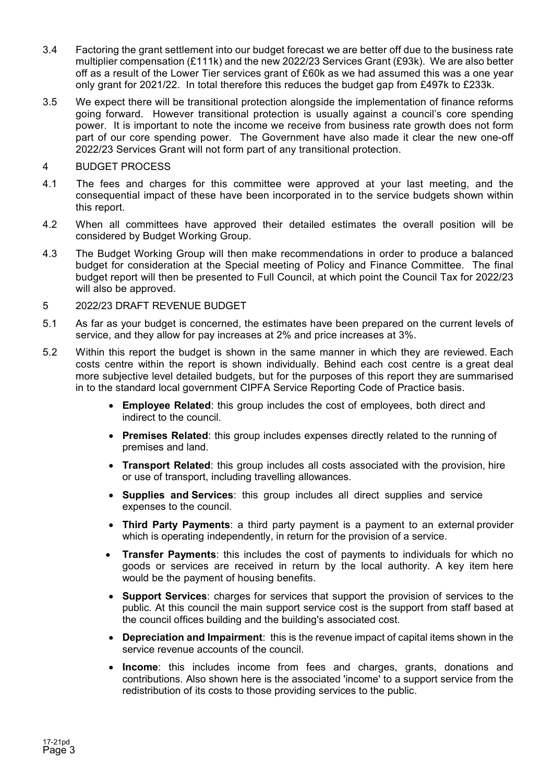- 3.4 Factoring the grant settlement into our budget forecast we are better off due to the business rate multiplier compensation (£111k) and the new 2022/23 Services Grant (£93k). We are also better off as a result of the Lower Tier services grant of £60k as we had assumed this was a one year only grant for 2021/22. In total therefore this reduces the budget gap from £497k to £233k.
- 3.5 We expect there will be transitional protection alongside the implementation of finance reforms going forward. However transitional protection is usually against a council's core spending power. It is important to note the income we receive from business rate growth does not form part of our core spending power. The Government have also made it clear the new one-off 2022/23 Services Grant will not form part of any transitional protection.

## 4 BUDGET PROCESS

- 4.1 The fees and charges for this committee were approved at your last meeting, and the consequential impact of these have been incorporated in to the service budgets shown within this report.
- 4.2 When all committees have approved their detailed estimates the overall position will be considered by Budget Working Group.
- 4.3 The Budget Working Group will then make recommendations in order to produce a balanced budget for consideration at the Special meeting of Policy and Finance Committee. The final budget report will then be presented to Full Council, at which point the Council Tax for 2022/23 will also be approved.
- 5 2022/23 DRAFT REVENUE BUDGET
- 5.1 As far as your budget is concerned, the estimates have been prepared on the current levels of service, and they allow for pay increases at 2% and price increases at 3%.
- 5.2 Within this report the budget is shown in the same manner in which they are reviewed. Each costs centre within the report is shown individually. Behind each cost centre is a great deal more subjective level detailed budgets, but for the purposes of this report they are summarised in to the standard local government CIPFA Service Reporting Code of Practice basis.
	- **Employee Related**: this group includes the cost of employees, both direct and indirect to the council.
	- **Premises Related**: this group includes expenses directly related to the running of premises and land.
	- **Transport Related**: this group includes all costs associated with the provision, hire or use of transport, including travelling allowances.
	- **Supplies and Services**: this group includes all direct supplies and service expenses to the council.
	- **Third Party Payments**: a third party payment is a payment to an external provider which is operating independently, in return for the provision of a service.
	- **Transfer Payments**: this includes the cost of payments to individuals for which no goods or services are received in return by the local authority. A key item here would be the payment of housing benefits.
	- **Support Services**: charges for services that support the provision of services to the public. At this council the main support service cost is the support from staff based at the council offices building and the building's associated cost.
	- **Depreciation and Impairment**: this is the revenue impact of capital items shown in the service revenue accounts of the council.
	- **Income**: this includes income from fees and charges, grants, donations and contributions. Also shown here is the associated 'income' to a support service from the redistribution of its costs to those providing services to the public.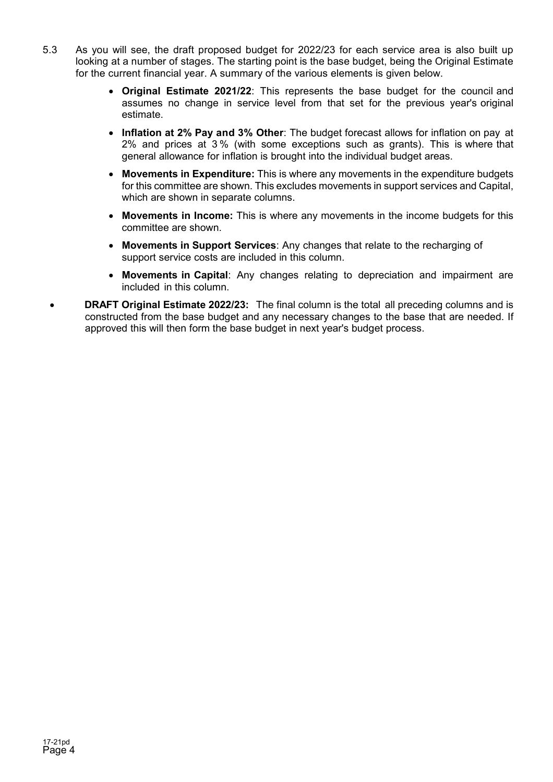- 5.3 As you will see, the draft proposed budget for 2022/23 for each service area is also built up looking at a number of stages. The starting point is the base budget, being the Original Estimate for the current financial year. A summary of the various elements is given below.
	- **Original Estimate 2021/22**: This represents the base budget for the council and assumes no change in service level from that set for the previous year's original estimate.
	- **Inflation at 2% Pay and 3% Other**: The budget forecast allows for inflation on pay at 2% and prices at 3 % (with some exceptions such as grants). This is where that general allowance for inflation is brought into the individual budget areas.
	- **Movements in Expenditure:** This is where any movements in the expenditure budgets for this committee are shown. This excludes movements in support services and Capital, which are shown in separate columns.
	- **Movements in Income:** This is where any movements in the income budgets for this committee are shown.
	- **Movements in Support Services**: Any changes that relate to the recharging of support service costs are included in this column.
	- **Movements in Capital**: Any changes relating to depreciation and impairment are included in this column.
	- **DRAFT Original Estimate 2022/23:** The final column is the total all preceding columns and is constructed from the base budget and any necessary changes to the base that are needed. If approved this will then form the base budget in next year's budget process.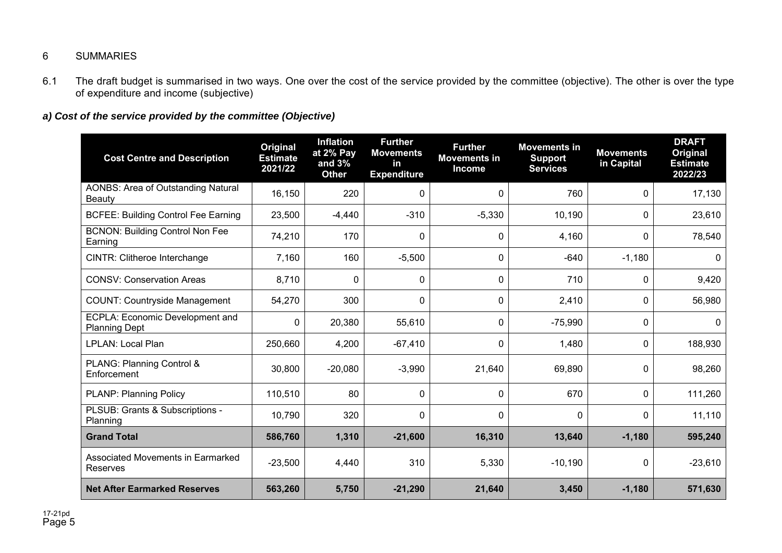## 6 SUMMARIES

6.1 The draft budget is summarised in two ways. One over the cost of the service provided by the committee (objective). The other is over the type of expenditure and income (subjective)

## *a) Cost of the service provided by the committee (Objective)*

| <b>Cost Centre and Description</b>                         | <b>Original</b><br><b>Estimate</b><br>2021/22 | <b>Inflation</b><br>at 2% Pay<br>and $3%$<br><b>Other</b> | <b>Further</b><br><b>Movements</b><br><b>in</b><br><b>Expenditure</b> | <b>Further</b><br><b>Movements in</b><br><b>Income</b> | <b>Movements in</b><br><b>Support</b><br><b>Services</b> | <b>Movements</b><br>in Capital | <b>DRAFT</b><br>Original<br><b>Estimate</b><br>2022/23 |
|------------------------------------------------------------|-----------------------------------------------|-----------------------------------------------------------|-----------------------------------------------------------------------|--------------------------------------------------------|----------------------------------------------------------|--------------------------------|--------------------------------------------------------|
| <b>AONBS: Area of Outstanding Natural</b><br><b>Beauty</b> | 16,150                                        | 220                                                       | 0                                                                     | 0                                                      | 760                                                      | 0                              | 17,130                                                 |
| <b>BCFEE: Building Control Fee Earning</b>                 | 23,500                                        | $-4,440$                                                  | $-310$                                                                | $-5,330$                                               | 10,190                                                   | 0                              | 23,610                                                 |
| <b>BCNON: Building Control Non Fee</b><br>Earning          | 74,210                                        | 170                                                       | $\mathbf{0}$                                                          | $\Omega$                                               | 4,160                                                    | $\Omega$                       | 78,540                                                 |
| CINTR: Clitheroe Interchange                               | 7,160                                         | 160                                                       | $-5,500$                                                              | 0                                                      | $-640$                                                   | $-1,180$                       | 0                                                      |
| <b>CONSV: Conservation Areas</b>                           | 8,710                                         | 0                                                         | 0                                                                     | 0                                                      | 710                                                      | 0                              | 9,420                                                  |
| <b>COUNT: Countryside Management</b>                       | 54,270                                        | 300                                                       | 0                                                                     | 0                                                      | 2,410                                                    | 0                              | 56,980                                                 |
| ECPLA: Economic Development and<br><b>Planning Dept</b>    | 0                                             | 20,380                                                    | 55,610                                                                | $\Omega$                                               | $-75,990$                                                | 0                              | $\mathbf{0}$                                           |
| LPLAN: Local Plan                                          | 250,660                                       | 4,200                                                     | $-67,410$                                                             | 0                                                      | 1,480                                                    | 0                              | 188,930                                                |
| PLANG: Planning Control &<br>Enforcement                   | 30,800                                        | $-20,080$                                                 | $-3,990$                                                              | 21,640                                                 | 69,890                                                   | 0                              | 98,260                                                 |
| <b>PLANP: Planning Policy</b>                              | 110,510                                       | 80                                                        | 0                                                                     | 0                                                      | 670                                                      | 0                              | 111,260                                                |
| PLSUB: Grants & Subscriptions -<br>Planning                | 10,790                                        | 320                                                       | $\mathbf{0}$                                                          | $\Omega$                                               | $\mathbf{0}$                                             | 0                              | 11,110                                                 |
| <b>Grand Total</b>                                         | 586,760                                       | 1,310                                                     | $-21,600$                                                             | 16,310                                                 | 13,640                                                   | $-1,180$                       | 595,240                                                |
| Associated Movements in Earmarked<br>Reserves              | $-23,500$                                     | 4,440                                                     | 310                                                                   | 5,330                                                  | $-10,190$                                                | 0                              | $-23,610$                                              |
| <b>Net After Earmarked Reserves</b>                        | 563,260                                       | 5,750                                                     | $-21,290$                                                             | 21,640                                                 | 3,450                                                    | $-1,180$                       | 571,630                                                |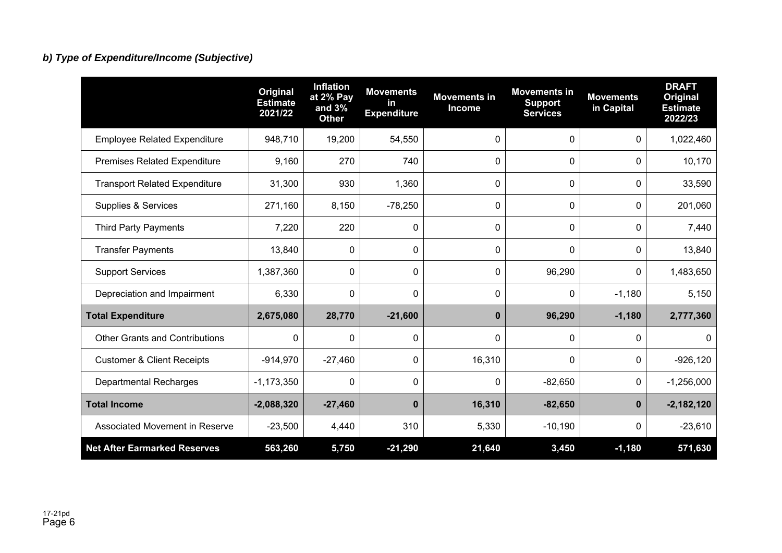## *b) Type of Expenditure/Income (Subjective)*

|                                       | Original<br><b>Estimate</b><br>2021/22 | <b>Inflation</b><br>at $2%$ Pay<br>and $3%$<br><b>Other</b> | <b>Movements</b><br>in<br><b>Expenditure</b> | <b>Movements in</b><br><b>Income</b> | <b>Movements in</b><br><b>Support</b><br><b>Services</b> | <b>Movements</b><br>in Capital | <b>DRAFT</b><br><b>Original</b><br><b>Estimate</b><br>2022/23 |
|---------------------------------------|----------------------------------------|-------------------------------------------------------------|----------------------------------------------|--------------------------------------|----------------------------------------------------------|--------------------------------|---------------------------------------------------------------|
| <b>Employee Related Expenditure</b>   | 948,710                                | 19,200                                                      | 54,550                                       | 0                                    | 0                                                        | 0                              | 1,022,460                                                     |
| <b>Premises Related Expenditure</b>   | 9,160                                  | 270                                                         | 740                                          | 0                                    | $\mathbf{0}$                                             | $\mathbf{0}$                   | 10,170                                                        |
| <b>Transport Related Expenditure</b>  | 31,300                                 | 930                                                         | 1,360                                        | 0                                    | 0                                                        | 0                              | 33,590                                                        |
| Supplies & Services                   | 271,160                                | 8,150                                                       | $-78,250$                                    | 0                                    | 0                                                        | $\Omega$                       | 201,060                                                       |
| <b>Third Party Payments</b>           | 7,220                                  | 220                                                         | $\mathbf{0}$                                 | 0                                    | $\mathbf{0}$                                             | 0                              | 7,440                                                         |
| <b>Transfer Payments</b>              | 13,840                                 | 0                                                           | $\mathbf{0}$                                 | 0                                    | $\mathbf{0}$                                             | 0                              | 13,840                                                        |
| <b>Support Services</b>               | 1,387,360                              | 0                                                           | 0                                            | 0                                    | 96,290                                                   | 0                              | 1,483,650                                                     |
| Depreciation and Impairment           | 6,330                                  | 0                                                           | $\mathbf 0$                                  | 0                                    | 0                                                        | $-1,180$                       | 5,150                                                         |
| <b>Total Expenditure</b>              | 2,675,080                              | 28,770                                                      | $-21,600$                                    | $\mathbf{0}$                         | 96,290                                                   | $-1,180$                       | 2,777,360                                                     |
| <b>Other Grants and Contributions</b> | $\mathbf{0}$                           | 0                                                           | $\mathbf{0}$                                 | 0                                    | $\Omega$                                                 | $\Omega$                       | $\Omega$                                                      |
| <b>Customer &amp; Client Receipts</b> | $-914,970$                             | $-27,460$                                                   | 0                                            | 16,310                               | $\mathbf{0}$                                             | 0                              | $-926,120$                                                    |
| <b>Departmental Recharges</b>         | $-1,173,350$                           | 0                                                           | $\mathbf{0}$                                 | 0                                    | $-82,650$                                                | 0                              | $-1,256,000$                                                  |
| <b>Total Income</b>                   | $-2,088,320$                           | $-27,460$                                                   | $\mathbf 0$                                  | 16,310                               | $-82,650$                                                | $\mathbf 0$                    | $-2,182,120$                                                  |
| Associated Movement in Reserve        | $-23,500$                              | 4,440                                                       | 310                                          | 5,330                                | $-10,190$                                                | 0                              | $-23,610$                                                     |
| <b>Net After Earmarked Reserves</b>   | 563,260                                | 5,750                                                       | $-21,290$                                    | 21,640                               | 3,450                                                    | $-1,180$                       | 571,630                                                       |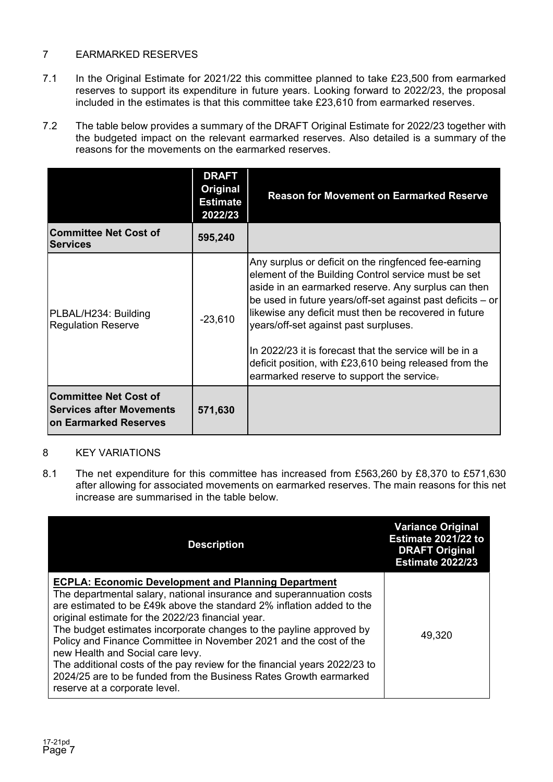## 7 EARMARKED RESERVES

- 7.1 In the Original Estimate for 2021/22 this committee planned to take £23,500 from earmarked reserves to support its expenditure in future years. Looking forward to 2022/23, the proposal included in the estimates is that this committee take £23,610 from earmarked reserves.
- 7.2 The table below provides a summary of the DRAFT Original Estimate for 2022/23 together with the budgeted impact on the relevant earmarked reserves. Also detailed is a summary of the reasons for the movements on the earmarked reserves.

|                                                                                          | <b>DRAFT</b><br>Original<br><b>Estimate</b><br>2022/23 | <b>Reason for Movement on Earmarked Reserve</b>                                                                                                                                                                                                                                                                                                                                                                                                                                                      |
|------------------------------------------------------------------------------------------|--------------------------------------------------------|------------------------------------------------------------------------------------------------------------------------------------------------------------------------------------------------------------------------------------------------------------------------------------------------------------------------------------------------------------------------------------------------------------------------------------------------------------------------------------------------------|
| <b>Committee Net Cost of</b><br><b>Services</b>                                          | 595,240                                                |                                                                                                                                                                                                                                                                                                                                                                                                                                                                                                      |
| PLBAL/H234: Building<br><b>Regulation Reserve</b>                                        | $-23,610$                                              | Any surplus or deficit on the ringfenced fee-earning<br>element of the Building Control service must be set<br>aside in an earmarked reserve. Any surplus can then<br>be used in future years/off-set against past deficits – or<br>likewise any deficit must then be recovered in future<br>years/off-set against past surpluses.<br>In 2022/23 it is forecast that the service will be in a<br>deficit position, with £23,610 being released from the<br>earmarked reserve to support the service. |
| <b>Committee Net Cost of</b><br><b>Services after Movements</b><br>on Earmarked Reserves | 571,630                                                |                                                                                                                                                                                                                                                                                                                                                                                                                                                                                                      |

## 8 KEY VARIATIONS

8.1 The net expenditure for this committee has increased from £563,260 by £8,370 to £571,630 after allowing for associated movements on earmarked reserves. The main reasons for this net increase are summarised in the table below.

| <b>Description</b>                                                                                                                                                                                                                                                                                                                                                                                                                                                                                                                                                                                                                  | <b>Variance Original</b><br>Estimate 2021/22 to<br><b>DRAFT Original</b><br><b>Estimate 2022/23</b> |
|-------------------------------------------------------------------------------------------------------------------------------------------------------------------------------------------------------------------------------------------------------------------------------------------------------------------------------------------------------------------------------------------------------------------------------------------------------------------------------------------------------------------------------------------------------------------------------------------------------------------------------------|-----------------------------------------------------------------------------------------------------|
| <b>ECPLA: Economic Development and Planning Department</b><br>The departmental salary, national insurance and superannuation costs<br>are estimated to be £49k above the standard 2% inflation added to the<br>original estimate for the 2022/23 financial year.<br>The budget estimates incorporate changes to the payline approved by<br>Policy and Finance Committee in November 2021 and the cost of the<br>new Health and Social care levy.<br>The additional costs of the pay review for the financial years 2022/23 to<br>2024/25 are to be funded from the Business Rates Growth earmarked<br>reserve at a corporate level. | 49,320                                                                                              |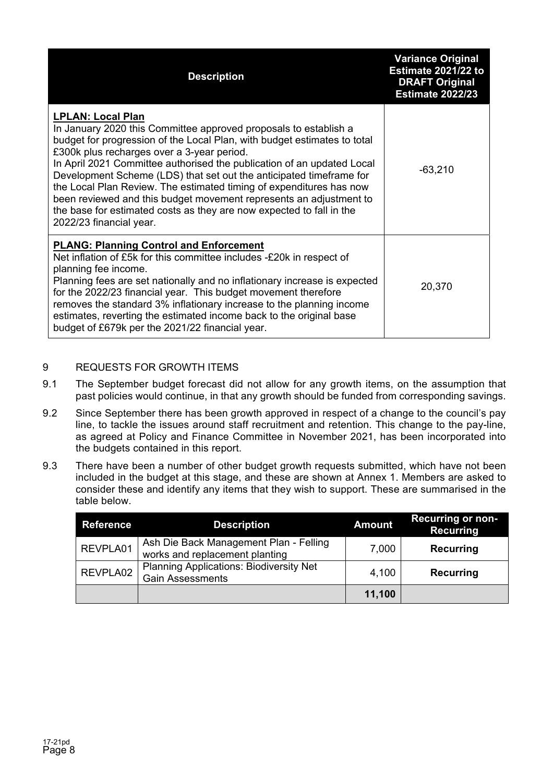| <b>Description</b>                                                                                                                                                                                                                                                                                                                                                                                                                                                                                                                                                                                                      | <b>Variance Original</b><br>Estimate 2021/22 to<br><b>DRAFT Original</b><br><b>Estimate 2022/23</b> |
|-------------------------------------------------------------------------------------------------------------------------------------------------------------------------------------------------------------------------------------------------------------------------------------------------------------------------------------------------------------------------------------------------------------------------------------------------------------------------------------------------------------------------------------------------------------------------------------------------------------------------|-----------------------------------------------------------------------------------------------------|
| <b>LPLAN: Local Plan</b><br>In January 2020 this Committee approved proposals to establish a<br>budget for progression of the Local Plan, with budget estimates to total<br>£300k plus recharges over a 3-year period.<br>In April 2021 Committee authorised the publication of an updated Local<br>Development Scheme (LDS) that set out the anticipated timeframe for<br>the Local Plan Review. The estimated timing of expenditures has now<br>been reviewed and this budget movement represents an adjustment to<br>the base for estimated costs as they are now expected to fall in the<br>2022/23 financial year. | $-63,210$                                                                                           |
| <b>PLANG: Planning Control and Enforcement</b><br>Net inflation of £5k for this committee includes -£20k in respect of<br>planning fee income.<br>Planning fees are set nationally and no inflationary increase is expected<br>for the 2022/23 financial year. This budget movement therefore<br>removes the standard 3% inflationary increase to the planning income<br>estimates, reverting the estimated income back to the original base<br>budget of £679k per the 2021/22 financial year.                                                                                                                         | 20,370                                                                                              |

## 9 REQUESTS FOR GROWTH ITEMS

- 9.1 The September budget forecast did not allow for any growth items, on the assumption that past policies would continue, in that any growth should be funded from corresponding savings.
- 9.2 Since September there has been growth approved in respect of a change to the council's pay line, to tackle the issues around staff recruitment and retention. This change to the pay-line, as agreed at Policy and Finance Committee in November 2021, has been incorporated into the budgets contained in this report.
- 9.3 There have been a number of other budget growth requests submitted, which have not been included in the budget at this stage, and these are shown at Annex 1. Members are asked to consider these and identify any items that they wish to support. These are summarised in the table below.

| <b>Reference</b> | <b>Description</b>                                                        | <b>Amount</b> | <b>Recurring or non-</b><br><b>Recurring</b> |
|------------------|---------------------------------------------------------------------------|---------------|----------------------------------------------|
| REVPLA01         | Ash Die Back Management Plan - Felling<br>works and replacement planting  | 7,000         | <b>Recurring</b>                             |
| REVPLA02         | <b>Planning Applications: Biodiversity Net</b><br><b>Gain Assessments</b> | 4,100         | <b>Recurring</b>                             |
|                  |                                                                           | 11,100        |                                              |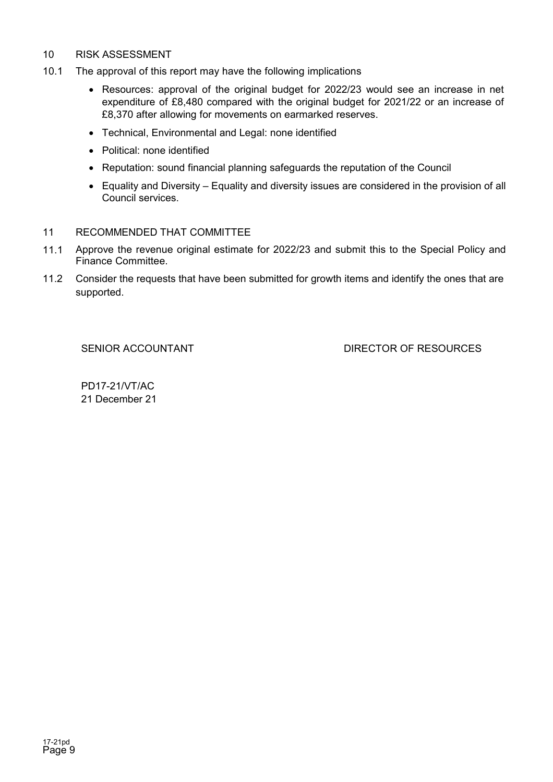## 10 RISK ASSESSMENT

- 10.1 The approval of this report may have the following implications
	- Resources: approval of the original budget for 2022/23 would see an increase in net expenditure of £8,480 compared with the original budget for 2021/22 or an increase of £8,370 after allowing for movements on earmarked reserves.
	- Technical, Environmental and Legal: none identified
	- Political: none identified
	- Reputation: sound financial planning safeguards the reputation of the Council
	- Equality and Diversity Equality and diversity issues are considered in the provision of all Council services.

## 11 RECOMMENDED THAT COMMITTEE

- 11.1 Approve the revenue original estimate for 2022/23 and submit this to the Special Policy and Finance Committee.
- 11.2 Consider the requests that have been submitted for growth items and identify the ones that are supported.

SENIOR ACCOUNTANT DIRECTOR OF RESOURCES

PD17-21/VT/AC 21 December 21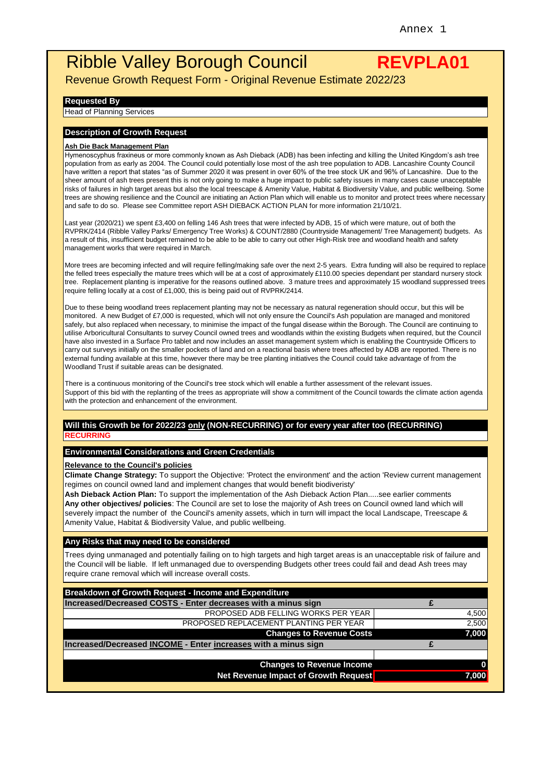# Ribble Valley Borough Council **REVPLA01**

Revenue Growth Request Form - Original Revenue Estimate 2022/23

#### **Requested By**

**Head of Planning Services** 

#### **Description of Growth Request**

#### **Ash Die Back Management Plan**

Hymenoscyphus fraxineus or more commonly known as Ash Dieback (ADB) has been infecting and killing the United Kingdom's ash tree population from as early as 2004. The Council could potentially lose most of the ash tree population to ADB. Lancashire County Council have written a report that states "as of Summer 2020 it was present in over 60% of the tree stock UK and 96% of Lancashire. Due to the sheer amount of ash trees present this is not only going to make a huge impact to public safety issues in many cases cause unacceptable risks of failures in high target areas but also the local treescape & Amenity Value, Habitat & Biodiversity Value, and public wellbeing. Some trees are showing resilience and the Council are initiating an Action Plan which will enable us to monitor and protect trees where necessary and safe to do so. Please see Committee report ASH DIEBACK ACTION PLAN for more information 21/10/21.

Last year (2020/21) we spent £3,400 on felling 146 Ash trees that were infected by ADB, 15 of which were mature, out of both the RVPRK/2414 (Ribble Valley Parks/ Emergency Tree Works) & COUNT/2880 (Countryside Management/ Tree Management) budgets. As a result of this, insufficient budget remained to be able to be able to carry out other High-Risk tree and woodland health and safety management works that were required in March.

More trees are becoming infected and will require felling/making safe over the next 2-5 years. Extra funding will also be required to replace the felled trees especially the mature trees which will be at a cost of approximately £110.00 species dependant per standard nursery stock tree. Replacement planting is imperative for the reasons outlined above. 3 mature trees and approximately 15 woodland suppressed trees require felling locally at a cost of £1,000, this is being paid out of RVPRK/2414.

Due to these being woodland trees replacement planting may not be necessary as natural regeneration should occur, but this will be monitored. A new Budget of £7,000 is requested, which will not only ensure the Council's Ash population are managed and monitored safely, but also replaced when necessary, to minimise the impact of the fungal disease within the Borough. The Council are continuing to utilise Arboricultural Consultants to survey Council owned trees and woodlands within the existing Budgets when required, but the Council have also invested in a Surface Pro tablet and now includes an asset management system which is enabling the Countryside Officers to carry out surveys initially on the smaller pockets of land and on a reactional basis where trees affected by ADB are reported. There is no external funding available at this time, however there may be tree planting initiatives the Council could take advantage of from the Woodland Trust if suitable areas can be designated.

There is a continuous monitoring of the Council's tree stock which will enable a further assessment of the relevant issues. Support of this bid with the replanting of the trees as appropriate will show a commitment of the Council towards the climate action agenda with the protection and enhancement of the environment.

#### **Will this Growth be for 2022/23 only (NON-RECURRING) or for every year after too (RECURRING) RECURRING**

#### **Environmental Considerations and Green Credentials**

#### **Relevance to the Council's policies**

**Climate Change Strategy:** To support the Objective: 'Protect the environment' and the action 'Review current management regimes on council owned land and implement changes that would benefit biodiveristy'

**Ash Dieback Action Plan:** To support the implementation of the Ash Dieback Action Plan.....see earlier comments **Any other objectives/ policies**: The Council are set to lose the majority of Ash trees on Council owned land which will severely impact the number of the Council's amenity assets, which in turn will impact the local Landscape, Treescape & Amenity Value, Habitat & Biodiversity Value, and public wellbeing.

#### **Any Risks that may need to be considered**

Trees dying unmanaged and potentially failing on to high targets and high target areas is an unacceptable risk of failure and the Council will be liable. If left unmanaged due to overspending Budgets other trees could fail and dead Ash trees may require crane removal which will increase overall costs.

| Breakdown of Growth Request - Income and Expenditure           |       |
|----------------------------------------------------------------|-------|
| Increased/Decreased COSTS - Enter decreases with a minus sign  |       |
| PROPOSED ADB FELLING WORKS PER YEAR                            | 4,500 |
| PROPOSED REPLACEMENT PLANTING PER YEAR                         | 2,500 |
| <b>Changes to Revenue Costs</b>                                | 7,000 |
| Increased/Decreased INCOME - Enter increases with a minus sign |       |
|                                                                |       |
| <b>Changes to Revenue Income</b>                               |       |
| Net Revenue Impact of Growth Request                           | 7,000 |